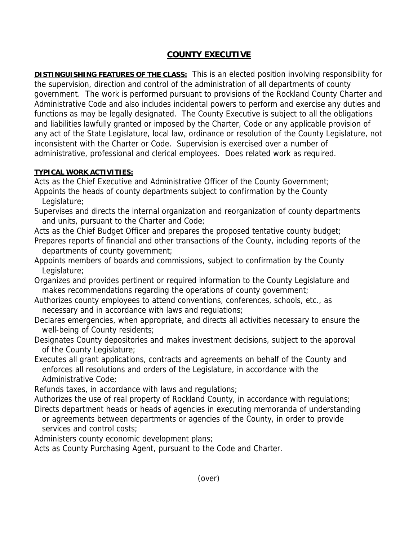## **COUNTY EXECUTIVE**

**DISTINGUISHING FEATURES OF THE CLASS:** This is an elected position involving responsibility for the supervision, direction and control of the administration of all departments of county government. The work is performed pursuant to provisions of the Rockland County Charter and Administrative Code and also includes incidental powers to perform and exercise any duties and functions as may be legally designated. The County Executive is subject to all the obligations and liabilities lawfully granted or imposed by the Charter, Code or any applicable provision of any act of the State Legislature, local law, ordinance or resolution of the County Legislature, not inconsistent with the Charter or Code. Supervision is exercised over a number of administrative, professional and clerical employees. Does related work as required.

## **TYPICAL WORK ACTIVITIES:**

Acts as the Chief Executive and Administrative Officer of the County Government;

- Appoints the heads of county departments subject to confirmation by the County Legislature;
- Supervises and directs the internal organization and reorganization of county departments and units, pursuant to the Charter and Code;

Acts as the Chief Budget Officer and prepares the proposed tentative county budget;

- Prepares reports of financial and other transactions of the County, including reports of the departments of county government;
- Appoints members of boards and commissions, subject to confirmation by the County Legislature;
- Organizes and provides pertinent or required information to the County Legislature and makes recommendations regarding the operations of county government;
- Authorizes county employees to attend conventions, conferences, schools, etc., as necessary and in accordance with laws and regulations;
- Declares emergencies, when appropriate, and directs all activities necessary to ensure the well-being of County residents;
- Designates County depositories and makes investment decisions, subject to the approval of the County Legislature;
- Executes all grant applications, contracts and agreements on behalf of the County and enforces all resolutions and orders of the Legislature, in accordance with the Administrative Code;

Refunds taxes, in accordance with laws and regulations;

Authorizes the use of real property of Rockland County, in accordance with regulations; Directs department heads or heads of agencies in executing memoranda of understanding or agreements between departments or agencies of the County, in order to provide services and control costs;

Administers county economic development plans;

Acts as County Purchasing Agent, pursuant to the Code and Charter.